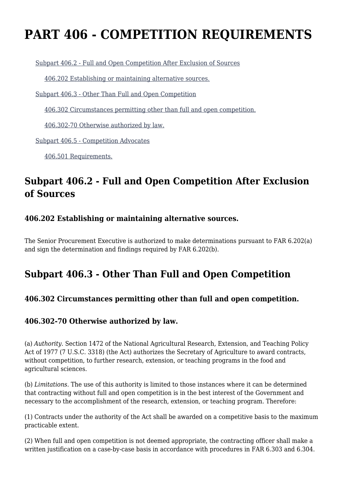# **PART 406 - COMPETITION REQUIREMENTS**

[Subpart 406.2 - Full and Open Competition After Exclusion of Sources](https://origin-www.acquisition.gov/%5Brp:link:agar-part-406%5D#Subpart_406_2_T48_4021271)

[406.202 Establishing or maintaining alternative sources.](https://origin-www.acquisition.gov/%5Brp:link:agar-part-406%5D#Section_406_202_T48_402127111)

[Subpart 406.3 - Other Than Full and Open Competition](https://origin-www.acquisition.gov/%5Brp:link:agar-part-406%5D#Subpart_406_3_T48_4021272)

[406.302 Circumstances permitting other than full and open competition.](https://origin-www.acquisition.gov/%5Brp:link:agar-part-406%5D#Section_406_302_T48_402127211)

[406.302-70 Otherwise authorized by law.](https://origin-www.acquisition.gov/%5Brp:link:agar-part-406%5D#Section_406_302_70_T48_402127212)

[Subpart 406.5 - Competition Advocates](https://origin-www.acquisition.gov/%5Brp:link:agar-part-406%5D#Subpart_406_5_T48_4021273)

[406.501 Requirements.](https://origin-www.acquisition.gov/%5Brp:link:agar-part-406%5D#Section_406_501_T48_402127311)

## **Subpart 406.2 - Full and Open Competition After Exclusion of Sources**

#### **406.202 Establishing or maintaining alternative sources.**

The Senior Procurement Executive is authorized to make determinations pursuant to FAR 6.202(a) and sign the determination and findings required by FAR 6.202(b).

## **Subpart 406.3 - Other Than Full and Open Competition**

#### **406.302 Circumstances permitting other than full and open competition.**

#### **406.302-70 Otherwise authorized by law.**

(a) *Authority.* Section 1472 of the National Agricultural Research, Extension, and Teaching Policy Act of 1977 (7 U.S.C. 3318) (the Act) authorizes the Secretary of Agriculture to award contracts, without competition, to further research, extension, or teaching programs in the food and agricultural sciences.

(b) *Limitations.* The use of this authority is limited to those instances where it can be determined that contracting without full and open competition is in the best interest of the Government and necessary to the accomplishment of the research, extension, or teaching program. Therefore:

(1) Contracts under the authority of the Act shall be awarded on a competitive basis to the maximum practicable extent.

(2) When full and open competition is not deemed appropriate, the contracting officer shall make a written justification on a case-by-case basis in accordance with procedures in FAR 6.303 and 6.304.